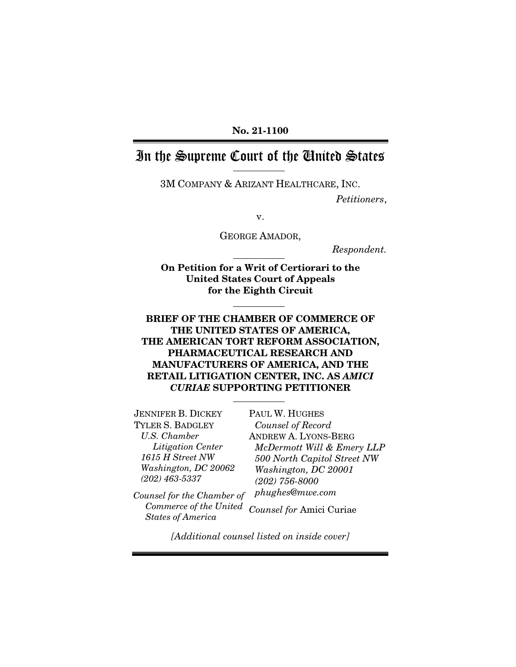#### No. 21-1100

# In the Supreme Court of the United States

3M COMPANY & ARIZANT HEALTHCARE, INC.

*Petitioners*,

v.

GEORGE AMADOR,

*Respondent.*

On Petition for a Writ of Certiorari to the United States Court of Appeals for the Eighth Circuit

### BRIEF OF THE CHAMBER OF COMMERCE OF THE UNITED STATES OF AMERICA, THE AMERICAN TORT REFORM ASSOCIATION, PHARMACEUTICAL RESEARCH AND MANUFACTURERS OF AMERICA, AND THE RETAIL LITIGATION CENTER, INC. AS *AMICI CURIAE* SUPPORTING PETITIONER

PAUL W. HUGHES

JENNIFER B. DICKEY TYLER S. BADGLEY *U.S. Chamber Litigation Center 1615 H Street NW Washington, DC 20062 (202) 463-5337*

*Counsel of Record* ANDREW A. LYONS-BERG *McDermott Will & Emery LLP 500 North Capitol Street NW Washington, DC 20001 (202) 756-8000 phughes@mwe.com*

*Counsel for the Chamber of Commerce of the United States of America Counsel for* Amici Curiae

*[Additional counsel listed on inside cover]*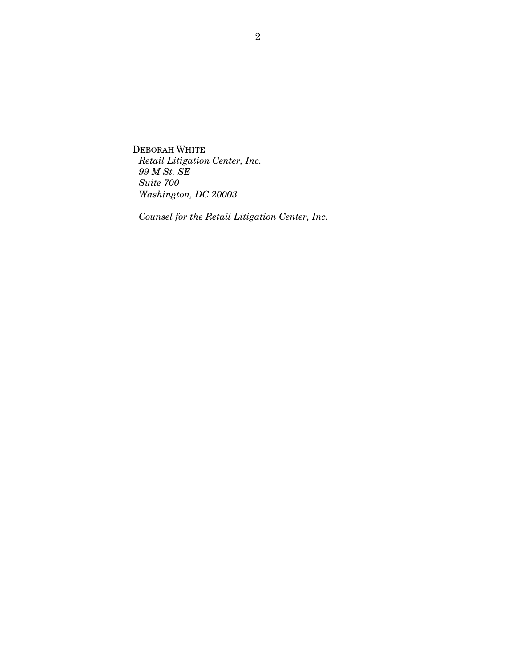DEBORAH WHITE *Retail Litigation Center, Inc. 99 M St. SE Suite 700 Washington, DC 20003*

*Counsel for the Retail Litigation Center, Inc.*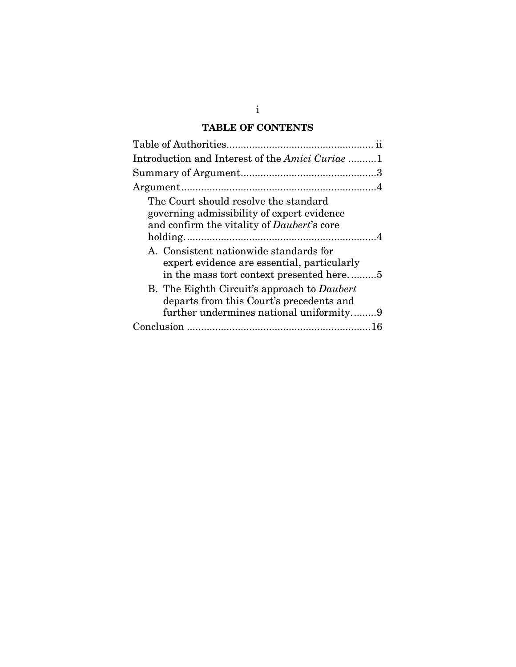## TABLE OF CONTENTS

| Introduction and Interest of the Amici Curiae 1    |
|----------------------------------------------------|
|                                                    |
|                                                    |
| The Court should resolve the standard              |
| governing admissibility of expert evidence         |
| and confirm the vitality of <i>Daubert</i> 's core |
|                                                    |
| A. Consistent nationwide standards for             |
| expert evidence are essential, particularly        |
| in the mass tort context presented here5           |
| B. The Eighth Circuit's approach to Daubert        |
| departs from this Court's precedents and           |
| further undermines national uniformity9            |
|                                                    |

i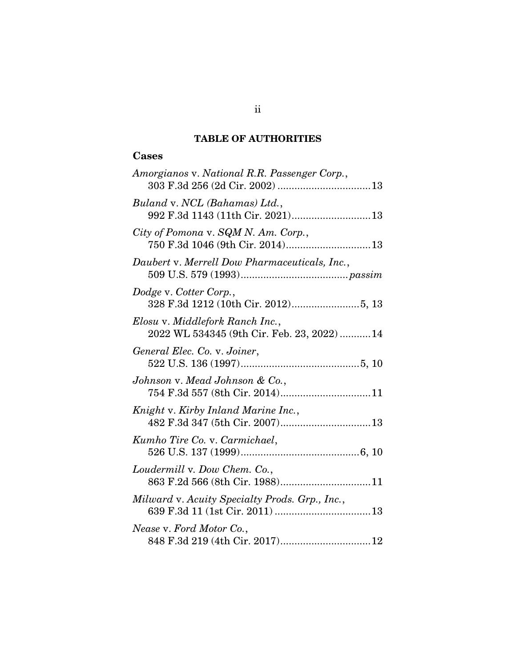### TABLE OF AUTHORITIES

## <span id="page-3-0"></span>Cases

| Amorgianos v. National R.R. Passenger Corp.,                                   |
|--------------------------------------------------------------------------------|
| Buland v. NCL (Bahamas) Ltd.,                                                  |
| City of Pomona v. SQM N. Am. Corp.,<br>750 F.3d 1046 (9th Cir. 2014) 13        |
| Daubert v. Merrell Dow Pharmaceuticals, Inc.,                                  |
| Dodge v. Cotter Corp.,                                                         |
| Elosu v. Middlefork Ranch Inc.,<br>2022 WL 534345 (9th Cir. Feb. 23, 2022)  14 |
| General Elec. Co. v. Joiner,                                                   |
| Johnson v. Mead Johnson & Co.,<br>754 F.3d 557 (8th Cir. 2014)11               |
| Knight v. Kirby Inland Marine Inc.,                                            |
| Kumho Tire Co. v. Carmichael,                                                  |
| Loudermill v. Dow Chem. Co.,<br>863 F.2d 566 (8th Cir. 1988)11                 |
| Milward v. Acuity Specialty Prods. Grp., Inc.,                                 |
| Nease v. Ford Motor Co.,                                                       |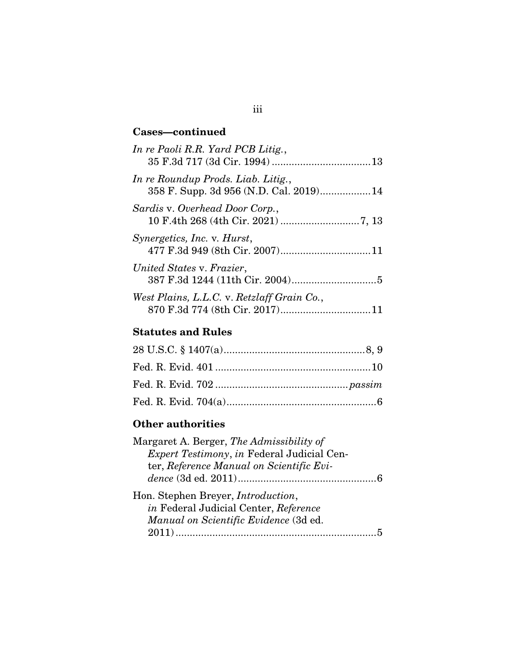## Cases—continued

| In re Paoli R.R. Yard PCB Litig.,                                            |
|------------------------------------------------------------------------------|
| In re Roundup Prods. Liab. Litig.,<br>358 F. Supp. 3d 956 (N.D. Cal. 2019)14 |
| Sardis v. Overhead Door Corp.,                                               |
| <i>Synergetics, Inc. v. Hurst,</i>                                           |
| United States v. Frazier,                                                    |
| West Plains, L.L.C. v. Retzlaff Grain Co.,                                   |

# Statutes and Rules

# Other authorities

| Margaret A. Berger, The Admissibility of          |  |
|---------------------------------------------------|--|
| <i>Expert Testimony, in Federal Judicial Cen-</i> |  |
| ter, Reference Manual on Scientific Evi-          |  |
|                                                   |  |
| Hon. Stephen Breyer, <i>Introduction</i> ,        |  |
| in Federal Judicial Center, Reference             |  |
| Manual on Scientific Evidence (3d ed.             |  |
|                                                   |  |
|                                                   |  |

# iii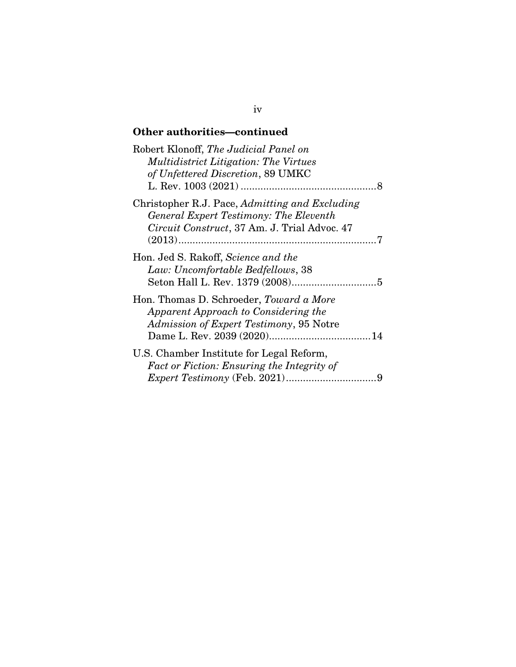## Other authorities—continued

| Robert Klonoff, The Judicial Panel on<br><b>Multidistrict Litigation: The Virtues</b><br>of Unfettered Discretion, 89 UMKC               |
|------------------------------------------------------------------------------------------------------------------------------------------|
| Christopher R.J. Pace, Admitting and Excluding<br>General Expert Testimony: The Eleventh<br>Circuit Construct, 37 Am. J. Trial Advoc. 47 |
| Hon. Jed S. Rakoff, Science and the<br>Law: Uncomfortable Bedfellows, 38                                                                 |
| Hon. Thomas D. Schroeder, Toward a More<br>Apparent Approach to Considering the<br>Admission of Expert Testimony, 95 Notre               |
| U.S. Chamber Institute for Legal Reform,<br>Fact or Fiction: Ensuring the Integrity of<br>9                                              |

## iv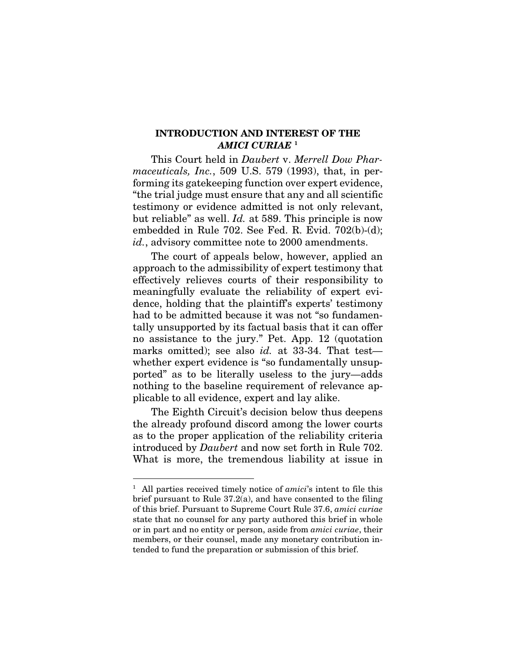#### <span id="page-6-1"></span><span id="page-6-0"></span>INTRODUCTION AND INTEREST OF THE *AMICI CURIAE* [1](#page-6-2)

This Court held in *Daubert* v. *Merrell Dow Pharmaceuticals, Inc.*, 509 U.S. 579 (1993), that, in performing its gatekeeping function over expert evidence, "the trial judge must ensure that any and all scientific testimony or evidence admitted is not only relevant, but reliable" as well. *Id.* at 589. This principle is now embedded in Rule 702. See Fed. R. Evid. 702(b)-(d); id., advisory committee note to 2000 amendments.

The court of appeals below, however, applied an approach to the admissibility of expert testimony that effectively relieves courts of their responsibility to meaningfully evaluate the reliability of expert evidence, holding that the plaintiff's experts' testimony had to be admitted because it was not "so fundamentally unsupported by its factual basis that it can offer no assistance to the jury." Pet. App. 12 (quotation marks omitted); see also *id.* at 33-34. That test whether expert evidence is "so fundamentally unsupported" as to be literally useless to the jury—adds nothing to the baseline requirement of relevance applicable to all evidence, expert and lay alike.

The Eighth Circuit's decision below thus deepens the already profound discord among the lower courts as to the proper application of the reliability criteria introduced by *Daubert* and now set forth in Rule 702. What is more, the tremendous liability at issue in

<span id="page-6-2"></span><sup>&</sup>lt;sup>1</sup> All parties received timely notice of *amici*'s intent to file this brief pursuant to Rule 37.2(a), and have consented to the filing of this brief. Pursuant to Supreme Court Rule 37.6, *amici curiae* state that no counsel for any party authored this brief in whole or in part and no entity or person, aside from *amici curiae*, their members, or their counsel, made any monetary contribution intended to fund the preparation or submission of this brief.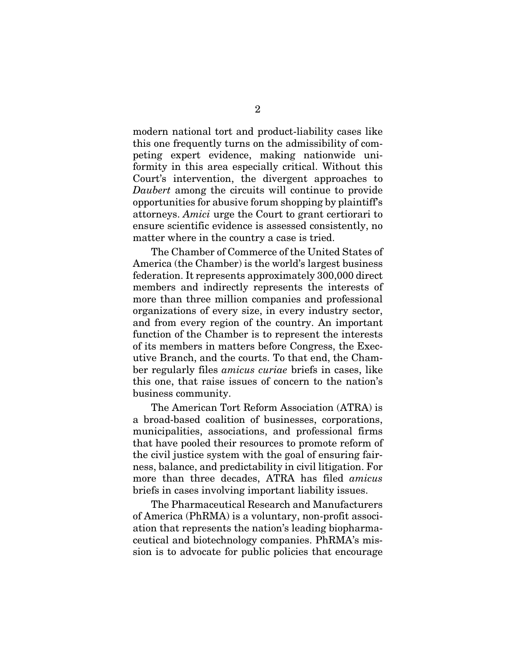modern national tort and product-liability cases like this one frequently turns on the admissibility of competing expert evidence, making nationwide uniformity in this area especially critical. Without this Court's intervention, the divergent approaches to *Daubert* among the circuits will continue to provide opportunities for abusive forum shopping by plaintiff's attorneys. *Amici* urge the Court to grant certiorari to ensure scientific evidence is assessed consistently, no matter where in the country a case is tried.

The Chamber of Commerce of the United States of America (the Chamber) is the world's largest business federation. It represents approximately 300,000 direct members and indirectly represents the interests of more than three million companies and professional organizations of every size, in every industry sector, and from every region of the country. An important function of the Chamber is to represent the interests of its members in matters before Congress, the Executive Branch, and the courts. To that end, the Chamber regularly files *amicus curiae* briefs in cases, like this one, that raise issues of concern to the nation's business community.

The American Tort Reform Association (ATRA) is a broad-based coalition of businesses, corporations, municipalities, associations, and professional firms that have pooled their resources to promote reform of the civil justice system with the goal of ensuring fairness, balance, and predictability in civil litigation. For more than three decades, ATRA has filed *amicus* briefs in cases involving important liability issues.

The Pharmaceutical Research and Manufacturers of America (PhRMA) is a voluntary, non-profit association that represents the nation's leading biopharmaceutical and biotechnology companies. PhRMA's mission is to advocate for public policies that encourage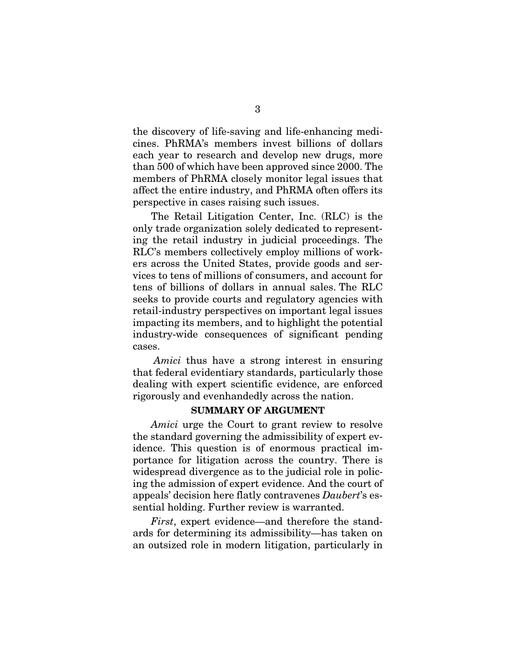the discovery of life-saving and life-enhancing medicines. PhRMA's members invest billions of dollars each year to research and develop new drugs, more than 500 of which have been approved since 2000. The members of PhRMA closely monitor legal issues that affect the entire industry, and PhRMA often offers its perspective in cases raising such issues.

The Retail Litigation Center, Inc. (RLC) is the only trade organization solely dedicated to representing the retail industry in judicial proceedings. The RLC's members collectively employ millions of workers across the United States, provide goods and services to tens of millions of consumers, and account for tens of billions of dollars in annual sales. The RLC seeks to provide courts and regulatory agencies with retail-industry perspectives on important legal issues impacting its members, and to highlight the potential industry-wide consequences of significant pending cases.

*Amici* thus have a strong interest in ensuring that federal evidentiary standards, particularly those dealing with expert scientific evidence, are enforced rigorously and evenhandedly across the nation.

#### SUMMARY OF ARGUMENT

<span id="page-8-0"></span>*Amici* urge the Court to grant review to resolve the standard governing the admissibility of expert evidence. This question is of enormous practical importance for litigation across the country. There is widespread divergence as to the judicial role in policing the admission of expert evidence. And the court of appeals' decision here flatly contravenes *Daubert*'s essential holding. Further review is warranted.

*First*, expert evidence—and therefore the standards for determining its admissibility—has taken on an outsized role in modern litigation, particularly in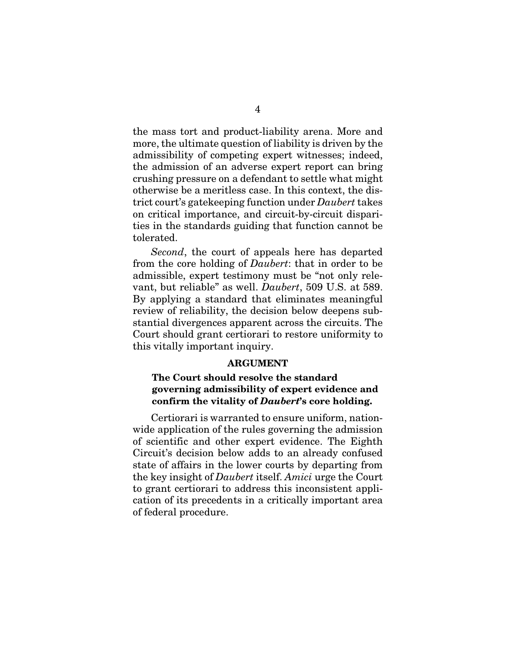the mass tort and product-liability arena. More and more, the ultimate question of liability is driven by the admissibility of competing expert witnesses; indeed, the admission of an adverse expert report can bring crushing pressure on a defendant to settle what might otherwise be a meritless case. In this context, the district court's gatekeeping function under *Daubert* takes on critical importance, and circuit-by-circuit disparities in the standards guiding that function cannot be tolerated.

*Second*, the court of appeals here has departed from the core holding of *Daubert*: that in order to be admissible, expert testimony must be "not only relevant, but reliable" as well. *Daubert*, 509 U.S. at 589. By applying a standard that eliminates meaningful review of reliability, the decision below deepens substantial divergences apparent across the circuits. The Court should grant certiorari to restore uniformity to this vitally important inquiry.

#### **ARGUMENT**

### <span id="page-9-1"></span><span id="page-9-0"></span>The Court should resolve the standard governing admissibility of expert evidence and confirm the vitality of *Daubert*'s core holding.

Certiorari is warranted to ensure uniform, nationwide application of the rules governing the admission of scientific and other expert evidence. The Eighth Circuit's decision below adds to an already confused state of affairs in the lower courts by departing from the key insight of *Daubert* itself. *Amici* urge the Court to grant certiorari to address this inconsistent application of its precedents in a critically important area of federal procedure.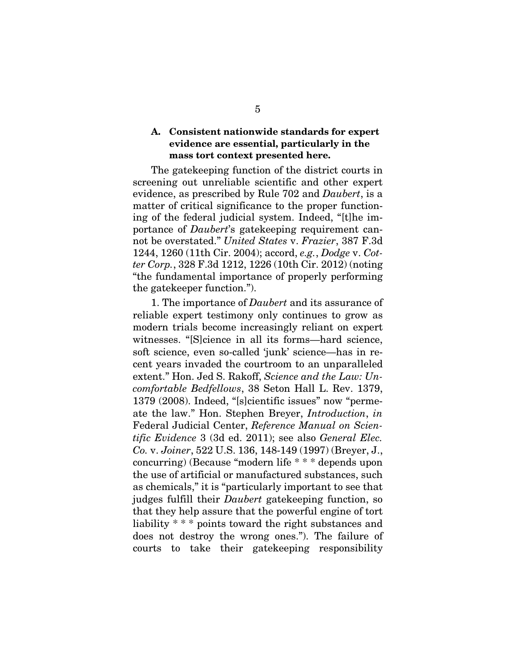### <span id="page-10-0"></span>A. Consistent nationwide standards for expert evidence are essential, particularly in the mass tort context presented here.

The gatekeeping function of the district courts in screening out unreliable scientific and other expert evidence, as prescribed by Rule 702 and *Daubert*, is a matter of critical significance to the proper functioning of the federal judicial system. Indeed, "[t]he importance of *Daubert*'s gatekeeping requirement cannot be overstated." *United States* v. *Frazier*, 387 F.3d 1244, 1260 (11th Cir. 2004); accord, *e.g.*, *Dodge* v. *Cotter Corp.*, 328 F.3d 1212, 1226 (10th Cir. 2012) (noting "the fundamental importance of properly performing the gatekeeper function.").

<span id="page-10-5"></span><span id="page-10-4"></span><span id="page-10-3"></span><span id="page-10-2"></span><span id="page-10-1"></span>1. The importance of *Daubert* and its assurance of reliable expert testimony only continues to grow as modern trials become increasingly reliant on expert witnesses. "[S]cience in all its forms—hard science, soft science, even so-called 'junk' science—has in recent years invaded the courtroom to an unparalleled extent." Hon. Jed S. Rakoff, *Science and the Law: Uncomfortable Bedfellows*, 38 Seton Hall L. Rev. 1379, 1379 (2008). Indeed, "[s]cientific issues" now "permeate the law." Hon. Stephen Breyer, *Introduction*, *in*  Federal Judicial Center, *Reference Manual on Scientific Evidence* 3 (3d ed. 2011); see also *General Elec. Co.* v. *Joiner*, 522 U.S. 136, 148-149 (1997) (Breyer, J., concurring) (Because "modern life \* \* \* depends upon the use of artificial or manufactured substances, such as chemicals," it is "particularly important to see that judges fulfill their *Daubert* gatekeeping function, so that they help assure that the powerful engine of tort liability \* \* \* points toward the right substances and does not destroy the wrong ones."). The failure of courts to take their gatekeeping responsibility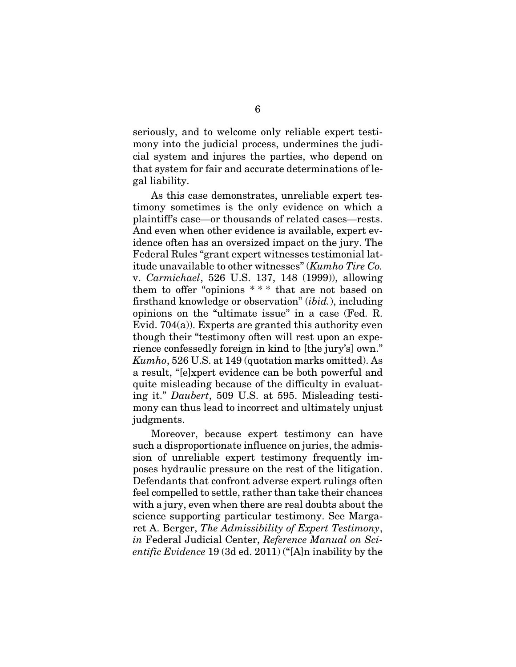seriously, and to welcome only reliable expert testimony into the judicial process, undermines the judicial system and injures the parties, who depend on that system for fair and accurate determinations of legal liability.

<span id="page-11-1"></span><span id="page-11-0"></span>As this case demonstrates, unreliable expert testimony sometimes is the only evidence on which a plaintiff's case—or thousands of related cases—rests. And even when other evidence is available, expert evidence often has an oversized impact on the jury. The Federal Rules "grant expert witnesses testimonial latitude unavailable to other witnesses" (*Kumho Tire Co.*  v. *Carmichael*, 526 U.S. 137, 148 (1999)), allowing them to offer "opinions \* \* \* that are not based on firsthand knowledge or observation" (*ibid.*), including opinions on the "ultimate issue" in a case (Fed. R. Evid. 704(a)). Experts are granted this authority even though their "testimony often will rest upon an experience confessedly foreign in kind to [the jury's] own." *Kumho*, 526 U.S. at 149 (quotation marks omitted). As a result, "[e]xpert evidence can be both powerful and quite misleading because of the difficulty in evaluating it." *Daubert*, 509 U.S. at 595. Misleading testimony can thus lead to incorrect and ultimately unjust judgments.

<span id="page-11-2"></span>Moreover, because expert testimony can have such a disproportionate influence on juries, the admission of unreliable expert testimony frequently imposes hydraulic pressure on the rest of the litigation. Defendants that confront adverse expert rulings often feel compelled to settle, rather than take their chances with a jury, even when there are real doubts about the science supporting particular testimony. See Margaret A. Berger, *The Admissibility of Expert Testimony*, *in* Federal Judicial Center, *Reference Manual on Scientific Evidence* 19 (3d ed. 2011) ("[A]n inability by the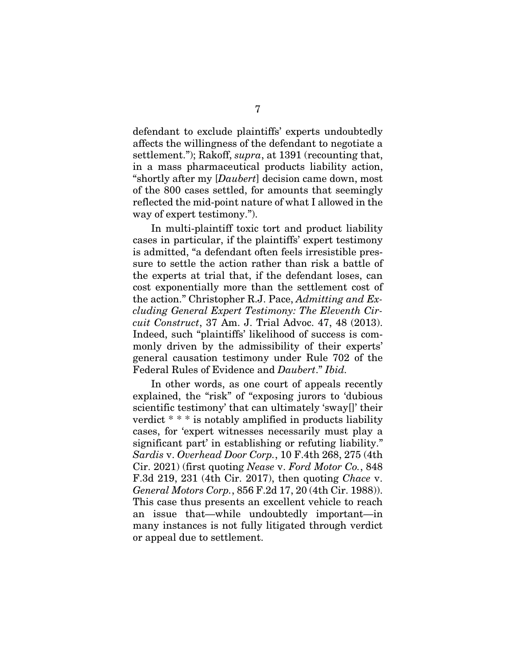defendant to exclude plaintiffs' experts undoubtedly affects the willingness of the defendant to negotiate a settlement."); Rakoff, *supra*, at 1391 (recounting that, in a mass pharmaceutical products liability action, "shortly after my [*Daubert*] decision came down, most of the 800 cases settled, for amounts that seemingly reflected the mid-point nature of what I allowed in the way of expert testimony.").

In multi-plaintiff toxic tort and product liability cases in particular, if the plaintiffs' expert testimony is admitted, "a defendant often feels irresistible pressure to settle the action rather than risk a battle of the experts at trial that, if the defendant loses, can cost exponentially more than the settlement cost of the action." Christopher R.J. Pace, *Admitting and Excluding General Expert Testimony: The Eleventh Circuit Construct*, 37 Am. J. Trial Advoc. 47, 48 (2013). Indeed, such "plaintiffs' likelihood of success is commonly driven by the admissibility of their experts' general causation testimony under Rule 702 of the Federal Rules of Evidence and *Daubert*." *Ibid.*

<span id="page-12-1"></span><span id="page-12-0"></span>In other words, as one court of appeals recently explained, the "risk" of "exposing jurors to 'dubious scientific testimony' that can ultimately 'sway[]' their verdict \* \* \* is notably amplified in products liability cases, for 'expert witnesses necessarily must play a significant part' in establishing or refuting liability." *Sardis* v. *Overhead Door Corp.*, 10 F.4th 268, 275 (4th Cir. 2021) (first quoting *Nease* v. *Ford Motor Co.*, 848 F.3d 219, 231 (4th Cir. 2017), then quoting *Chace* v. *General Motors Corp.*, 856 F.2d 17, 20 (4th Cir. 1988)). This case thus presents an excellent vehicle to reach an issue that—while undoubtedly important—in many instances is not fully litigated through verdict or appeal due to settlement.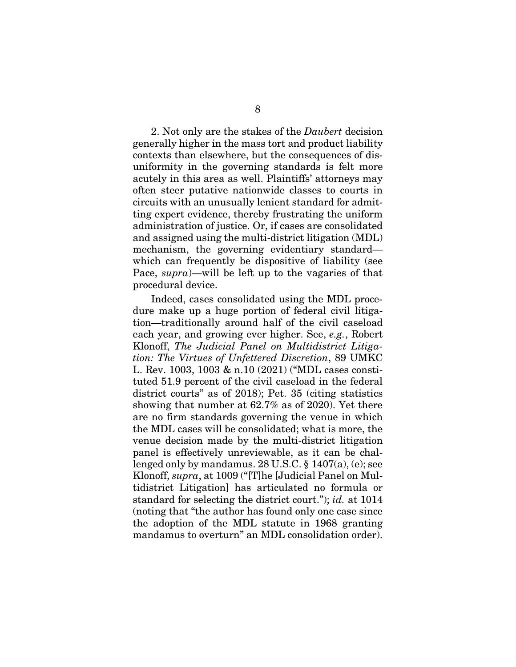2. Not only are the stakes of the *Daubert* decision generally higher in the mass tort and product liability contexts than elsewhere, but the consequences of disuniformity in the governing standards is felt more acutely in this area as well. Plaintiffs' attorneys may often steer putative nationwide classes to courts in circuits with an unusually lenient standard for admitting expert evidence, thereby frustrating the uniform administration of justice. Or, if cases are consolidated and assigned using the multi-district litigation (MDL) mechanism, the governing evidentiary standard which can frequently be dispositive of liability (see Pace, *supra*)—will be left up to the vagaries of that procedural device.

<span id="page-13-1"></span><span id="page-13-0"></span>Indeed, cases consolidated using the MDL procedure make up a huge portion of federal civil litigation—traditionally around half of the civil caseload each year, and growing ever higher. See, *e.g.*, Robert Klonoff, *The Judicial Panel on Multidistrict Litigation: The Virtues of Unfettered Discretion*, 89 UMKC L. Rev. 1003, 1003 & n.10 (2021) ("MDL cases constituted 51.9 percent of the civil caseload in the federal district courts" as of 2018); Pet. 35 (citing statistics showing that number at 62.7% as of 2020). Yet there are no firm standards governing the venue in which the MDL cases will be consolidated; what is more, the venue decision made by the multi-district litigation panel is effectively unreviewable, as it can be challenged only by mandamus.  $28 \text{ U.S.C.} \$ §  $1407(a)$ , (e); see Klonoff, *supra*, at 1009 ("[T]he [Judicial Panel on Multidistrict Litigation] has articulated no formula or standard for selecting the district court."); *id.* at 1014 (noting that "the author has found only one case since the adoption of the MDL statute in 1968 granting mandamus to overturn" an MDL consolidation order).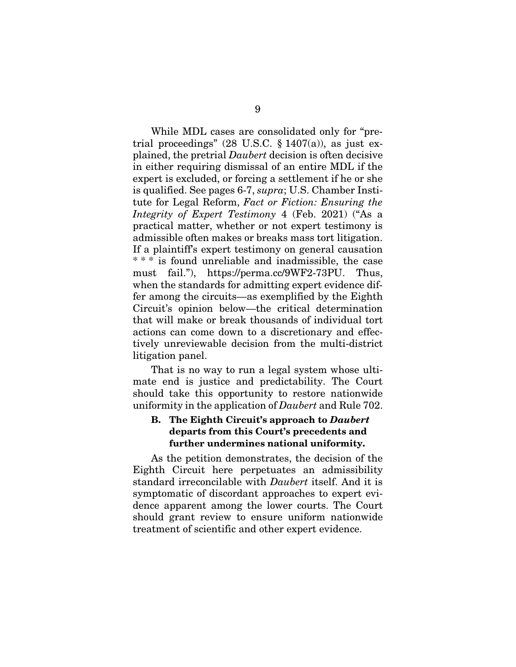<span id="page-14-2"></span><span id="page-14-1"></span>While MDL cases are consolidated only for "pretrial proceedings" (28 U.S.C.  $\S 1407(a)$ ), as just explained, the pretrial *Daubert* decision is often decisive in either requiring dismissal of an entire MDL if the expert is excluded, or forcing a settlement if he or she is qualified. See pages 6-7, *supra*; U.S. Chamber Institute for Legal Reform, *Fact or Fiction: Ensuring the Integrity of Expert Testimony* 4 (Feb. 2021) ("As a practical matter, whether or not expert testimony is admissible often makes or breaks mass tort litigation. If a plaintiff's expert testimony on general causation \* \* \* is found unreliable and inadmissible, the case must fail."), https://perma.cc/9WF2-73PU. Thus, when the standards for admitting expert evidence differ among the circuits—as exemplified by the Eighth Circuit's opinion below—the critical determination that will make or break thousands of individual tort actions can come down to a discretionary and effectively unreviewable decision from the multi-district litigation panel.

That is no way to run a legal system whose ultimate end is justice and predictability. The Court should take this opportunity to restore nationwide uniformity in the application of *Daubert* and Rule 702.

### <span id="page-14-0"></span>B. The Eighth Circuit's approach to *Daubert* departs from this Court's precedents and further undermines national uniformity.

As the petition demonstrates, the decision of the Eighth Circuit here perpetuates an admissibility standard irreconcilable with *Daubert* itself. And it is symptomatic of discordant approaches to expert evidence apparent among the lower courts. The Court should grant review to ensure uniform nationwide treatment of scientific and other expert evidence.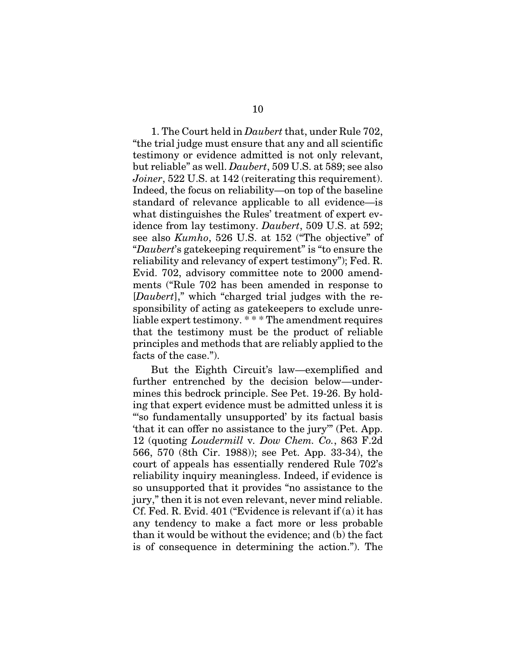<span id="page-15-1"></span><span id="page-15-0"></span>1. The Court held in *Daubert* that, under Rule 702, "the trial judge must ensure that any and all scientific testimony or evidence admitted is not only relevant, but reliable" as well. *Daubert*, 509 U.S. at 589; see also *Joiner*, 522 U.S. at 142 (reiterating this requirement). Indeed, the focus on reliability—on top of the baseline standard of relevance applicable to all evidence—is what distinguishes the Rules' treatment of expert evidence from lay testimony. *Daubert*, 509 U.S. at 592; see also *Kumho*, 526 U.S. at 152 ("The objective" of "*Daubert*'s gatekeeping requirement" is "to ensure the reliability and relevancy of expert testimony"); Fed. R. Evid. 702, advisory committee note to 2000 amendments ("Rule 702 has been amended in response to [*Daubert*]," which "charged trial judges with the responsibility of acting as gatekeepers to exclude unreliable expert testimony. \* \* \* The amendment requires that the testimony must be the product of reliable principles and methods that are reliably applied to the facts of the case.").

<span id="page-15-2"></span>But the Eighth Circuit's law—exemplified and further entrenched by the decision below—undermines this bedrock principle. See Pet. 19-26. By holding that expert evidence must be admitted unless it is "'so fundamentally unsupported' by its factual basis 'that it can offer no assistance to the jury'" (Pet. App. 12 (quoting *Loudermill* v*. Dow Chem. Co.*, 863 F.2d 566, 570 (8th Cir. 1988)); see Pet. App. 33-34), the court of appeals has essentially rendered Rule 702's reliability inquiry meaningless. Indeed, if evidence is so unsupported that it provides "no assistance to the jury," then it is not even relevant, never mind reliable. Cf. Fed. R. Evid. 401 ("Evidence is relevant if (a) it has any tendency to make a fact more or less probable than it would be without the evidence; and (b) the fact is of consequence in determining the action."). The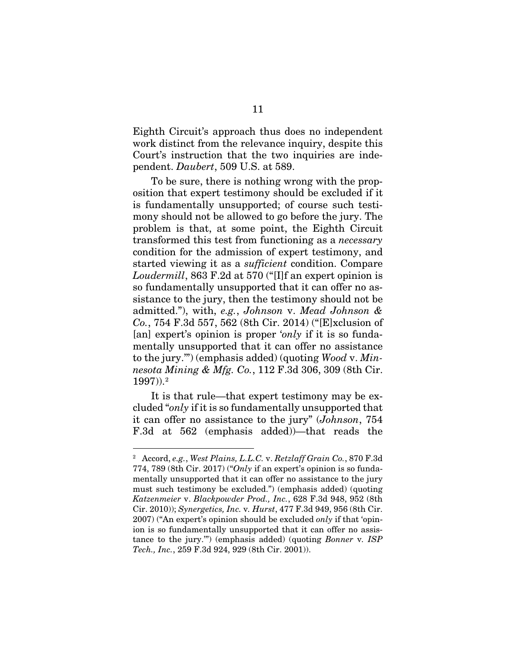Eighth Circuit's approach thus does no independent work distinct from the relevance inquiry, despite this Court's instruction that the two inquiries are independent. *Daubert*, 509 U.S. at 589.

<span id="page-16-1"></span>To be sure, there is nothing wrong with the proposition that expert testimony should be excluded if it is fundamentally unsupported; of course such testimony should not be allowed to go before the jury. The problem is that, at some point, the Eighth Circuit transformed this test from functioning as a *necessary* condition for the admission of expert testimony, and started viewing it as a *sufficient* condition. Compare *Loudermill*, 863 F.2d at 570 ("[I]f an expert opinion is so fundamentally unsupported that it can offer no assistance to the jury, then the testimony should not be admitted."), with, *e.g.*, *Johnson* v. *Mead Johnson & Co.*, 754 F.3d 557, 562 (8th Cir. 2014) ("[E]xclusion of [an] expert's opinion is proper '*only* if it is so fundamentally unsupported that it can offer no assistance to the jury.'") (emphasis added) (quoting *Wood* v. *Minnesota Mining & Mfg. Co.*, 112 F.3d 306, 309 (8th Cir. 1997)).[2](#page-16-4)

<span id="page-16-0"></span>It is that rule—that expert testimony may be excluded "*only* if it is so fundamentally unsupported that it can offer no assistance to the jury" (*Johnson*, 754 F.3d at 562 (emphasis added))—that reads the

<span id="page-16-4"></span><span id="page-16-3"></span><span id="page-16-2"></span><sup>2</sup> Accord, *e.g.*, *West Plains, L.L.C.* v. *Retzlaff Grain Co.*, 870 F.3d 774, 789 (8th Cir. 2017) ("*Only* if an expert's opinion is so fundamentally unsupported that it can offer no assistance to the jury must such testimony be excluded.") (emphasis added) (quoting *Katzenmeier* v. *Blackpowder Prod., Inc.*, 628 F.3d 948, 952 (8th Cir. 2010)); *Synergetics, Inc.* v*. Hurst*, 477 F.3d 949, 956 (8th Cir. 2007) ("An expert's opinion should be excluded *only* if that 'opinion is so fundamentally unsupported that it can offer no assistance to the jury.'") (emphasis added) (quoting *Bonner* v*. ISP Tech., Inc.*, 259 F.3d 924, 929 (8th Cir. 2001)).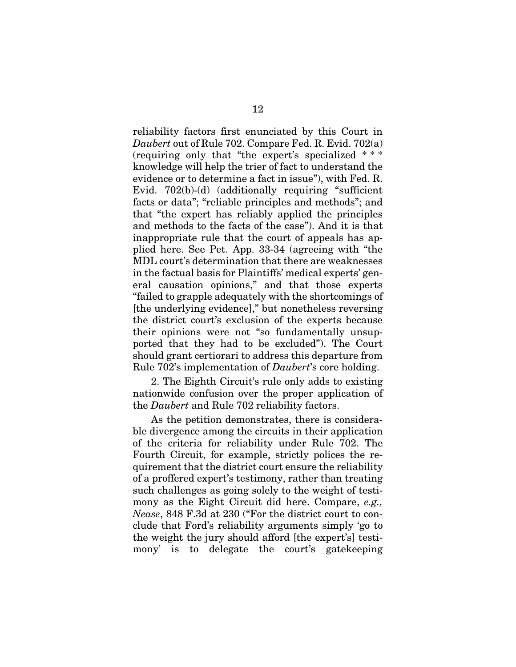<span id="page-17-1"></span>reliability factors first enunciated by this Court in *Daubert* out of Rule 702. Compare Fed. R. Evid. 702(a) (requiring only that "the expert's specialized \* \* \* knowledge will help the trier of fact to understand the evidence or to determine a fact in issue"), with Fed. R. Evid. 702(b)-(d) (additionally requiring "sufficient facts or data"; "reliable principles and methods"; and that "the expert has reliably applied the principles and methods to the facts of the case"). And it is that inappropriate rule that the court of appeals has applied here. See Pet. App. 33-34 (agreeing with "the MDL court's determination that there are weaknesses in the factual basis for Plaintiffs' medical experts' general causation opinions," and that those experts "failed to grapple adequately with the shortcomings of [the underlying evidence]," but nonetheless reversing the district court's exclusion of the experts because their opinions were not "so fundamentally unsupported that they had to be excluded"). The Court should grant certiorari to address this departure from Rule 702's implementation of *Daubert*'s core holding.

2. The Eighth Circuit's rule only adds to existing nationwide confusion over the proper application of the *Daubert* and Rule 702 reliability factors.

<span id="page-17-0"></span>As the petition demonstrates, there is considerable divergence among the circuits in their application of the criteria for reliability under Rule 702. The Fourth Circuit, for example, strictly polices the requirement that the district court ensure the reliability of a proffered expert's testimony, rather than treating such challenges as going solely to the weight of testimony as the Eight Circuit did here. Compare, *e.g., Nease*, 848 F.3d at 230 ("For the district court to conclude that Ford's reliability arguments simply 'go to the weight the jury should afford [the expert's] testimony' is to delegate the court's gatekeeping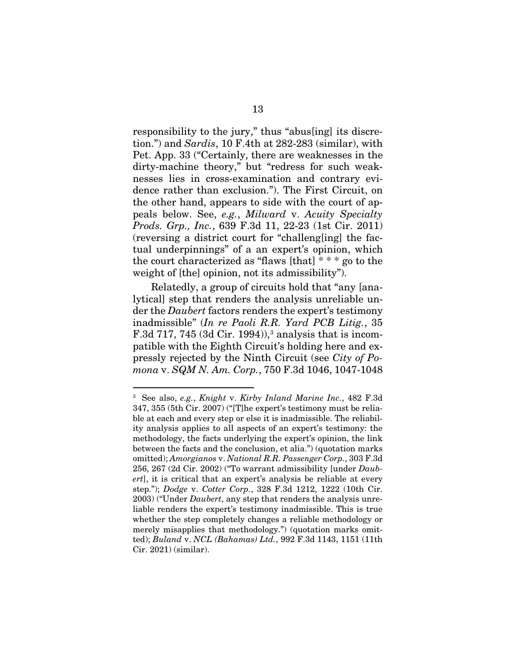<span id="page-18-7"></span>responsibility to the jury," thus "abus[ing] its discretion.") and *Sardis*, 10 F.4th at 282-283 (similar), with Pet. App. 33 ("Certainly, there are weaknesses in the dirty-machine theory," but "redress for such weaknesses lies in cross-examination and contrary evidence rather than exclusion."). The First Circuit, on the other hand, appears to side with the court of appeals below. See, *e.g.*, *Milward* v. *Acuity Specialty Prods. Grp., Inc.*, 639 F.3d 11, 22-23 (1st Cir. 2011) (reversing a district court for "challeng[ing] the factual underpinnings" of a an expert's opinion, which the court characterized as "flaws [that]  $***$  go to the weight of [the] opinion, not its admissibility").

<span id="page-18-6"></span><span id="page-18-5"></span>Relatedly, a group of circuits hold that "any [analytical] step that renders the analysis unreliable under the *Daubert* factors renders the expert's testimony inadmissible" (*In re Paoli R.R. Yard PCB Litig.*, 35 F.3d 717, 745 (3d Cir. 1994)), [3](#page-18-8) analysis that is incompatible with the Eighth Circuit's holding here and expressly rejected by the Ninth Circuit (see *City of Pomona* v. *SQM N. Am. Corp.*, 750 F.3d 1046, 1047-1048

<span id="page-18-8"></span><span id="page-18-4"></span><span id="page-18-3"></span><span id="page-18-2"></span><span id="page-18-1"></span><span id="page-18-0"></span><sup>3</sup> See also, *e.g.*, *Knight* v. *Kirby Inland Marine Inc.*, 482 F.3d 347, 355 (5th Cir. 2007) ("[T]he expert's testimony must be reliable at each and every step or else it is inadmissible. The reliability analysis applies to all aspects of an expert's testimony: the methodology, the facts underlying the expert's opinion, the link between the facts and the conclusion, et alia.") (quotation marks omitted); *Amorgianos* v. *National R.R. Passenger Corp.*, 303 F.3d 256, 267 (2d Cir. 2002) ("To warrant admissibility [under *Daubert*], it is critical that an expert's analysis be reliable at every step."); *Dodge* v. *Cotter Corp.*, 328 F.3d 1212, 1222 (10th Cir. 2003) ("Under *Daubert*, any step that renders the analysis unreliable renders the expert's testimony inadmissible. This is true whether the step completely changes a reliable methodology or merely misapplies that methodology.") (quotation marks omitted); *Buland* v. *NCL (Bahamas) Ltd.*, 992 F.3d 1143, 1151 (11th Cir. 2021) (similar).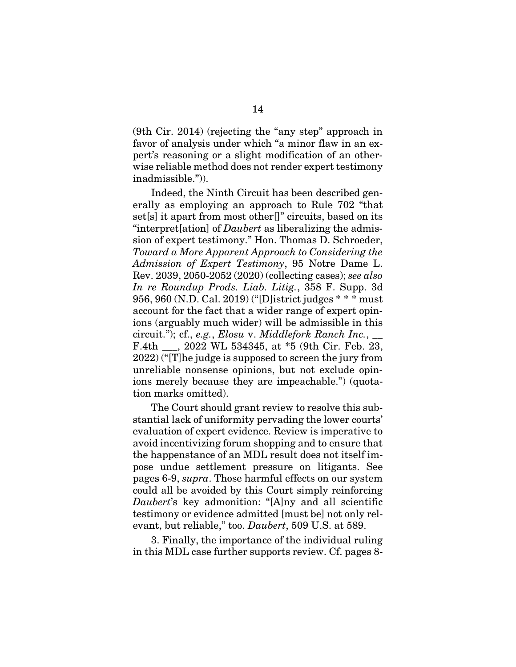(9th Cir. 2014) (rejecting the "any step" approach in favor of analysis under which "a minor flaw in an expert's reasoning or a slight modification of an otherwise reliable method does not render expert testimony inadmissible.")).

<span id="page-19-2"></span><span id="page-19-1"></span>Indeed, the Ninth Circuit has been described generally as employing an approach to Rule 702 "that set[s] it apart from most other<sup>[]"</sup> circuits, based on its "interpret[ation] of *Daubert* as liberalizing the admission of expert testimony." Hon. Thomas D. Schroeder, *Toward a More Apparent Approach to Considering the Admission of Expert Testimony*, 95 Notre Dame L. Rev. 2039, 2050-2052 (2020) (collecting cases); *see also In re Roundup Prods. Liab. Litig.*, 358 F. Supp. 3d 956, 960 (N.D. Cal. 2019) ("[D]istrict judges \* \* \* must account for the fact that a wider range of expert opinions (arguably much wider) will be admissible in this circuit."); cf., *e.g.*, *Elosu* v. *Middlefork Ranch Inc.*, \_\_ F.4th \_\_\_, 2022 WL 534345, at \*5 (9th Cir. Feb. 23, 2022) ("[T]he judge is supposed to screen the jury from unreliable nonsense opinions, but not exclude opinions merely because they are impeachable.") (quotation marks omitted).

<span id="page-19-0"></span>The Court should grant review to resolve this substantial lack of uniformity pervading the lower courts' evaluation of expert evidence. Review is imperative to avoid incentivizing forum shopping and to ensure that the happenstance of an MDL result does not itself impose undue settlement pressure on litigants. See pages 6-9, *supra*. Those harmful effects on our system could all be avoided by this Court simply reinforcing *Daubert*'s key admonition: "[A]ny and all scientific testimony or evidence admitted [must be] not only relevant, but reliable," too. *Daubert*, 509 U.S. at 589.

3. Finally, the importance of the individual ruling in this MDL case further supports review. Cf. pages 8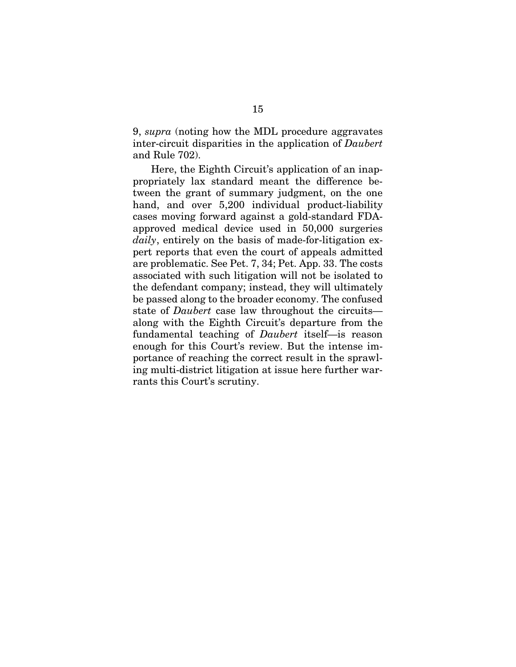9, *supra* (noting how the MDL procedure aggravates inter-circuit disparities in the application of *Daubert* and Rule 702).

Here, the Eighth Circuit's application of an inappropriately lax standard meant the difference between the grant of summary judgment, on the one hand, and over 5,200 individual product-liability cases moving forward against a gold-standard FDAapproved medical device used in 50,000 surgeries *daily*, entirely on the basis of made-for-litigation expert reports that even the court of appeals admitted are problematic. See Pet. 7, 34; Pet. App. 33. The costs associated with such litigation will not be isolated to the defendant company; instead, they will ultimately be passed along to the broader economy. The confused state of *Daubert* case law throughout the circuits along with the Eighth Circuit's departure from the fundamental teaching of *Daubert* itself—is reason enough for this Court's review. But the intense importance of reaching the correct result in the sprawling multi-district litigation at issue here further warrants this Court's scrutiny.